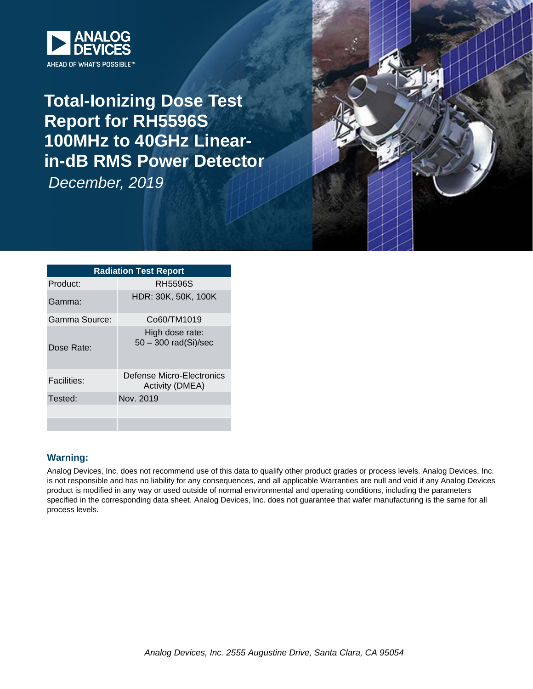

## **Total-Ionizing Dose Test Report for RH5596S 100MHz to 40GHz Linearin-dB RMS Power Detector**

*December, 2019*



| <b>Radiation Test Report</b> |                                              |  |  |  |  |  |  |
|------------------------------|----------------------------------------------|--|--|--|--|--|--|
| Product:                     | RH5596S                                      |  |  |  |  |  |  |
| Gamma:                       | HDR: 30K, 50K, 100K                          |  |  |  |  |  |  |
| Gamma Source:                | Co60/TM1019                                  |  |  |  |  |  |  |
| Dose Rate:                   | High dose rate:<br>$50 - 300$ rad(Si)/sec    |  |  |  |  |  |  |
| <b>Facilities:</b>           | Defense Micro-Electronics<br>Activity (DMEA) |  |  |  |  |  |  |
| Tested:                      | Nov. 2019                                    |  |  |  |  |  |  |
|                              |                                              |  |  |  |  |  |  |
|                              |                                              |  |  |  |  |  |  |

#### **Warning:**

Analog Devices, Inc. does not recommend use of this data to qualify other product grades or process levels. Analog Devices, Inc. is not responsible and has no liability for any consequences, and all applicable Warranties are null and void if any Analog Devices product is modified in any way or used outside of normal environmental and operating conditions, including the parameters specified in the corresponding data sheet. Analog Devices, Inc. does not guarantee that wafer manufacturing is the same for all process levels.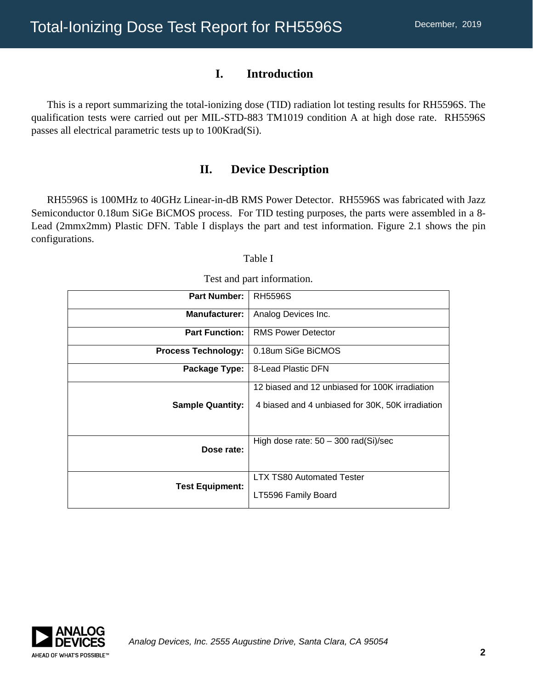#### **I. Introduction**

This is a report summarizing the total-ionizing dose (TID) radiation lot testing results for RH5596S. The qualification tests were carried out per MIL-STD-883 TM1019 condition A at high dose rate. RH5596S passes all electrical parametric tests up to 100Krad(Si).

#### **II. Device Description**

RH5596S is 100MHz to 40GHz Linear-in-dB RMS Power Detector. RH5596S was fabricated with Jazz Semiconductor 0.18um SiGe BiCMOS process. For TID testing purposes, the parts were assembled in a 8- Lead (2mmx2mm) Plastic DFN. Table I displays the part and test information. Figure 2.1 shows the pin configurations.

#### Table I

| <b>Part Number:</b>        | <b>RH5596S</b>                                                                                     |
|----------------------------|----------------------------------------------------------------------------------------------------|
| <b>Manufacturer:</b>       | Analog Devices Inc.                                                                                |
| <b>Part Function:</b>      | <b>RMS Power Detector</b>                                                                          |
| <b>Process Technology:</b> | 0.18um SiGe BiCMOS                                                                                 |
| Package Type:              | 8-Lead Plastic DFN                                                                                 |
| <b>Sample Quantity:</b>    | 12 biased and 12 unbiased for 100K irradiation<br>4 biased and 4 unbiased for 30K, 50K irradiation |
| Dose rate:                 | High dose rate: $50 - 300$ rad(Si)/sec                                                             |
| <b>Test Equipment:</b>     | <b>LTX TS80 Automated Tester</b><br>LT5596 Family Board                                            |

Test and part information.

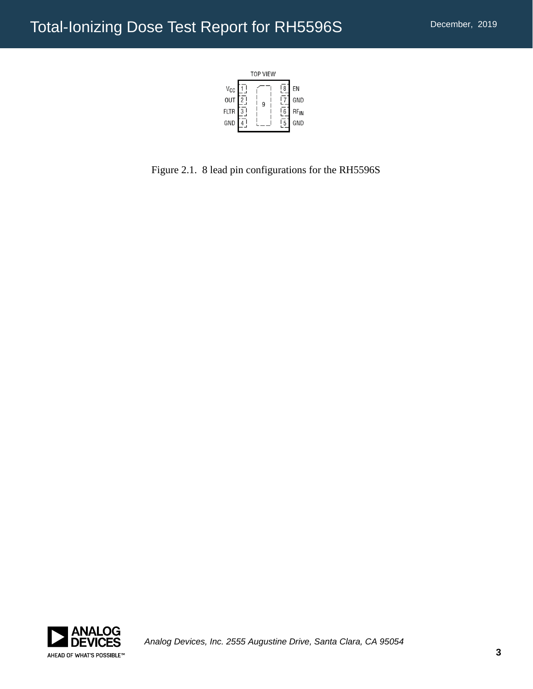

Figure 2.1. 8 lead pin configurations for the RH5596S

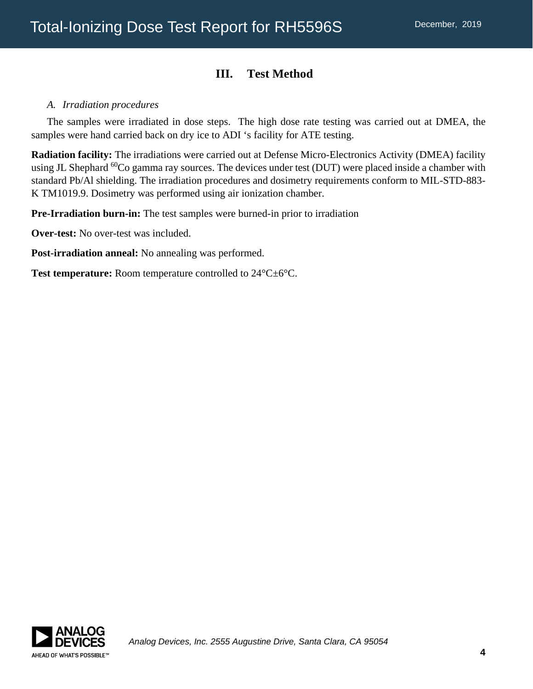### **III. Test Method**

#### *A. Irradiation procedures*

The samples were irradiated in dose steps. The high dose rate testing was carried out at DMEA, the samples were hand carried back on dry ice to ADI 's facility for ATE testing.

**Radiation facility:** The irradiations were carried out at Defense Micro-Electronics Activity (DMEA) facility using JL Shephard <sup>60</sup>Co gamma ray sources. The devices under test (DUT) were placed inside a chamber with standard Pb/Al shielding. The irradiation procedures and dosimetry requirements conform to MIL-STD-883- K TM1019.9. Dosimetry was performed using air ionization chamber.

**Pre-Irradiation burn-in:** The test samples were burned-in prior to irradiation

**Over-test:** No over-test was included.

**Post-irradiation anneal:** No annealing was performed.

Test temperature: Room temperature controlled to  $24^{\circ}$ C $\pm$ 6°C.

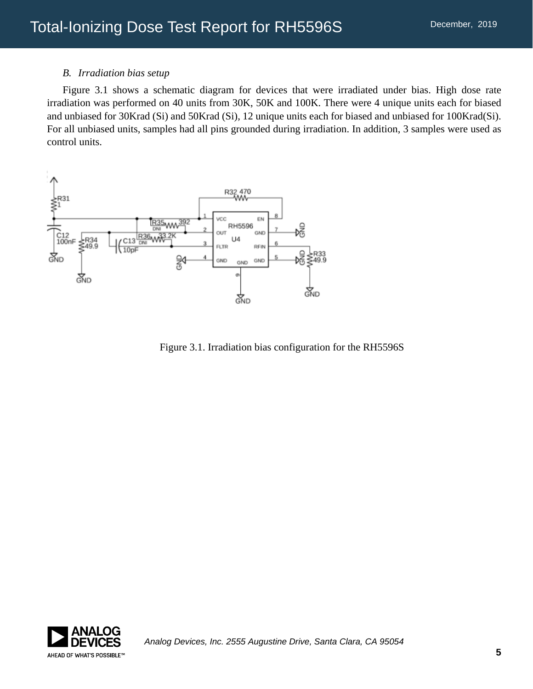#### *B. Irradiation bias setup*

Figure 3.1 shows a schematic diagram for devices that were irradiated under bias. High dose rate irradiation was performed on 40 units from 30K, 50K and 100K. There were 4 unique units each for biased and unbiased for 30Krad (Si) and 50Krad (Si), 12 unique units each for biased and unbiased for 100Krad(Si). For all unbiased units, samples had all pins grounded during irradiation. In addition, 3 samples were used as control units.



Figure 3.1. Irradiation bias configuration for the RH5596S

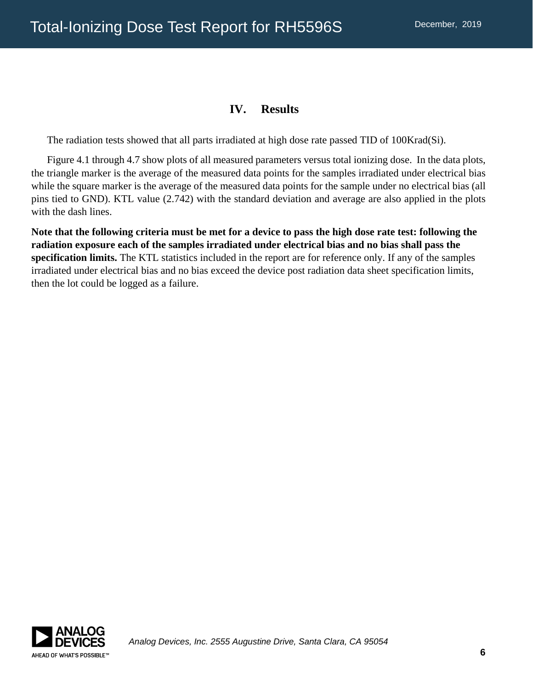### **IV. Results**

The radiation tests showed that all parts irradiated at high dose rate passed TID of 100Krad(Si).

Figure 4.1 through 4.7 show plots of all measured parameters versus total ionizing dose. In the data plots, the triangle marker is the average of the measured data points for the samples irradiated under electrical bias while the square marker is the average of the measured data points for the sample under no electrical bias (all pins tied to GND). KTL value (2.742) with the standard deviation and average are also applied in the plots with the dash lines.

**Note that the following criteria must be met for a device to pass the high dose rate test: following the radiation exposure each of the samples irradiated under electrical bias and no bias shall pass the specification limits.** The KTL statistics included in the report are for reference only. If any of the samples irradiated under electrical bias and no bias exceed the device post radiation data sheet specification limits, then the lot could be logged as a failure.

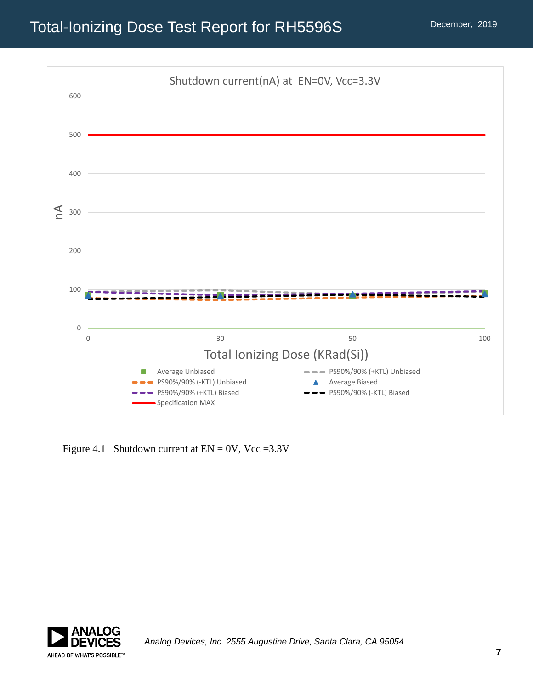

Figure 4.1 Shutdown current at  $EN = 0V$ ,  $Vcc = 3.3V$ 

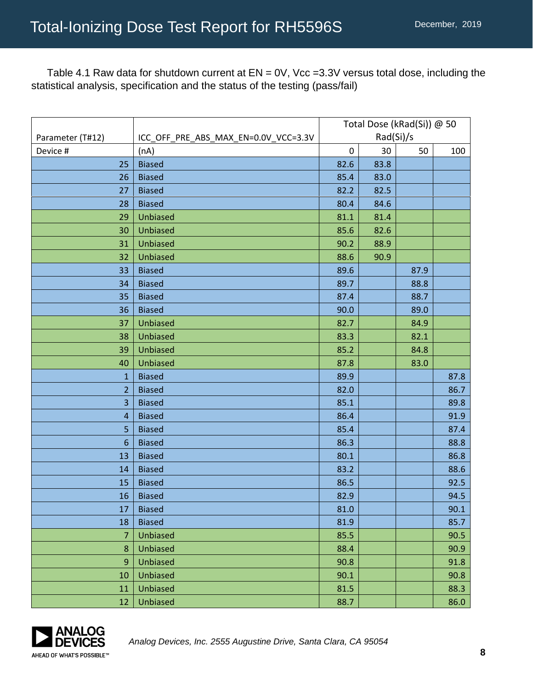Table 4.1 Raw data for shutdown current at EN = 0V, Vcc =3.3V versus total dose, including the statistical analysis, specification and the status of the testing (pass/fail)

|                  |                                      | Total Dose (kRad(Si)) @ 50 |      |      |      |
|------------------|--------------------------------------|----------------------------|------|------|------|
| Parameter (T#12) | ICC_OFF_PRE_ABS_MAX_EN=0.0V_VCC=3.3V | Rad(Si)/s                  |      |      |      |
| Device #         | (nA)                                 | $\pmb{0}$                  | 30   | 50   | 100  |
| 25               | <b>Biased</b>                        | 82.6                       | 83.8 |      |      |
| 26               | <b>Biased</b>                        | 85.4                       | 83.0 |      |      |
| 27               | <b>Biased</b>                        | 82.2                       | 82.5 |      |      |
| 28               | <b>Biased</b>                        | 80.4                       | 84.6 |      |      |
| 29               | Unbiased                             | 81.1                       | 81.4 |      |      |
| 30               | Unbiased                             | 85.6                       | 82.6 |      |      |
| 31               | Unbiased                             | 90.2                       | 88.9 |      |      |
| 32               | Unbiased                             | 88.6                       | 90.9 |      |      |
| 33               | <b>Biased</b>                        | 89.6                       |      | 87.9 |      |
| 34               | <b>Biased</b>                        | 89.7                       |      | 88.8 |      |
| 35               | <b>Biased</b>                        | 87.4                       |      | 88.7 |      |
| 36               | <b>Biased</b>                        | 90.0                       |      | 89.0 |      |
| 37               | Unbiased                             | 82.7                       |      | 84.9 |      |
| 38               | Unbiased                             | 83.3                       |      | 82.1 |      |
| 39               | Unbiased                             | 85.2                       |      | 84.8 |      |
| 40               | Unbiased                             | 87.8                       |      | 83.0 |      |
| $\mathbf{1}$     | <b>Biased</b>                        | 89.9                       |      |      | 87.8 |
| $\overline{2}$   | <b>Biased</b>                        | 82.0                       |      |      | 86.7 |
| 3                | <b>Biased</b>                        | 85.1                       |      |      | 89.8 |
| 4                | <b>Biased</b>                        | 86.4                       |      |      | 91.9 |
| 5                | <b>Biased</b>                        | 85.4                       |      |      | 87.4 |
| 6                | <b>Biased</b>                        | 86.3                       |      |      | 88.8 |
| 13               | <b>Biased</b>                        | 80.1                       |      |      | 86.8 |
| 14               | <b>Biased</b>                        | 83.2                       |      |      | 88.6 |
| 15               | <b>Biased</b>                        | 86.5                       |      |      | 92.5 |
| 16               | <b>Biased</b>                        | 82.9                       |      |      | 94.5 |
| 17               | <b>Biased</b>                        | 81.0                       |      |      | 90.1 |
| 18               | <b>Biased</b>                        | 81.9                       |      |      | 85.7 |
| $\overline{7}$   | Unbiased                             | 85.5                       |      |      | 90.5 |
| 8                | Unbiased                             | 88.4                       |      |      | 90.9 |
| 9                | Unbiased                             | 90.8                       |      |      | 91.8 |
| 10               | Unbiased                             | 90.1                       |      |      | 90.8 |
| 11               | Unbiased                             | 81.5                       |      |      | 88.3 |
| 12               | Unbiased                             | 88.7                       |      |      | 86.0 |

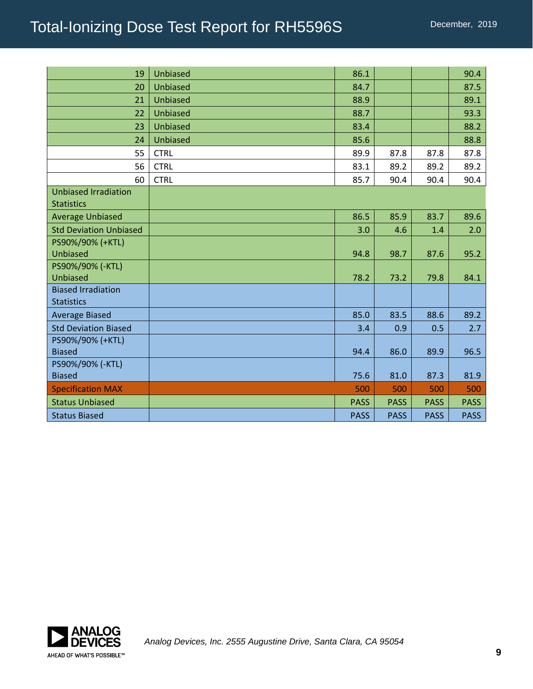| 19                                               | <b>Unbiased</b> | 86.1        |             |             | 90.4        |
|--------------------------------------------------|-----------------|-------------|-------------|-------------|-------------|
| 20                                               | Unbiased        | 84.7        |             |             | 87.5        |
| 21                                               | Unbiased        | 88.9        |             |             | 89.1        |
| 22                                               | <b>Unbiased</b> | 88.7        |             |             | 93.3        |
| 23                                               | Unbiased        | 83.4        |             |             | 88.2        |
| 24                                               | <b>Unbiased</b> | 85.6        |             |             | 88.8        |
| 55                                               | <b>CTRL</b>     | 89.9        | 87.8        | 87.8        | 87.8        |
| 56                                               | <b>CTRL</b>     | 83.1        | 89.2        | 89.2        | 89.2        |
| 60                                               | <b>CTRL</b>     | 85.7        | 90.4        | 90.4        | 90.4        |
| <b>Unbiased Irradiation</b><br><b>Statistics</b> |                 |             |             |             |             |
| <b>Average Unbiased</b>                          |                 | 86.5        | 85.9        | 83.7        | 89.6        |
| <b>Std Deviation Unbiased</b>                    |                 | 3.0         | 4.6         | 1.4         | 2.0         |
| PS90%/90% (+KTL)<br>Unbiased                     |                 | 94.8        | 98.7        | 87.6        | 95.2        |
| PS90%/90% (-KTL)<br>Unbiased                     |                 | 78.2        | 73.2        | 79.8        | 84.1        |
| <b>Biased Irradiation</b><br><b>Statistics</b>   |                 |             |             |             |             |
| <b>Average Biased</b>                            |                 | 85.0        | 83.5        | 88.6        | 89.2        |
| <b>Std Deviation Biased</b>                      |                 | 3.4         | 0.9         | 0.5         | 2.7         |
| PS90%/90% (+KTL)<br><b>Biased</b>                |                 | 94.4        | 86.0        | 89.9        | 96.5        |
| PS90%/90% (-KTL)<br><b>Biased</b>                |                 | 75.6        | 81.0        | 87.3        | 81.9        |
| <b>Specification MAX</b>                         |                 | 500         | 500         | 500         | 500         |
| <b>Status Unbiased</b>                           |                 | <b>PASS</b> | <b>PASS</b> | <b>PASS</b> | <b>PASS</b> |
| <b>Status Biased</b>                             |                 | <b>PASS</b> | <b>PASS</b> | <b>PASS</b> | <b>PASS</b> |

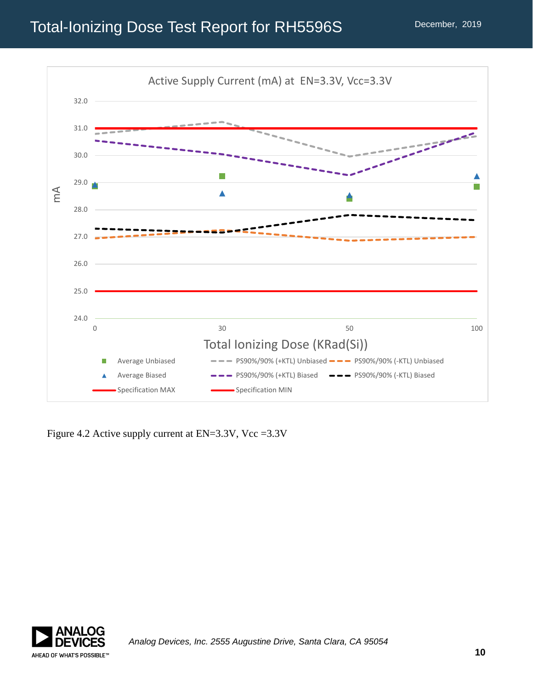

Figure 4.2 Active supply current at EN=3.3V, Vcc =3.3V

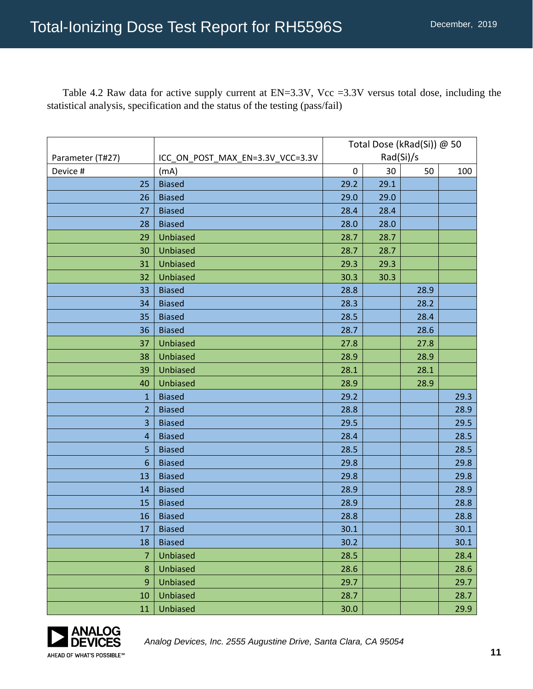Table 4.2 Raw data for active supply current at EN=3.3V, Vcc =3.3V versus total dose, including the statistical analysis, specification and the status of the testing (pass/fail)

|                  |                                  | Total Dose (kRad(Si)) @ 50 |      |      |      |
|------------------|----------------------------------|----------------------------|------|------|------|
| Parameter (T#27) | ICC_ON_POST_MAX_EN=3.3V_VCC=3.3V | Rad(Si)/s                  |      |      |      |
| Device #         | (mA)                             | $\boldsymbol{0}$           | 30   | 50   | 100  |
| 25               | <b>Biased</b>                    | 29.2                       | 29.1 |      |      |
| 26               | <b>Biased</b>                    | 29.0                       | 29.0 |      |      |
| 27               | <b>Biased</b>                    | 28.4                       | 28.4 |      |      |
| 28               | <b>Biased</b>                    | 28.0                       | 28.0 |      |      |
| 29               | Unbiased                         | 28.7                       | 28.7 |      |      |
| 30               | Unbiased                         | 28.7                       | 28.7 |      |      |
| 31               | <b>Unbiased</b>                  | 29.3                       | 29.3 |      |      |
| 32               | Unbiased                         | 30.3                       | 30.3 |      |      |
| 33               | <b>Biased</b>                    | 28.8                       |      | 28.9 |      |
| 34               | <b>Biased</b>                    | 28.3                       |      | 28.2 |      |
| 35               | <b>Biased</b>                    | 28.5                       |      | 28.4 |      |
| 36               | <b>Biased</b>                    | 28.7                       |      | 28.6 |      |
| 37               | <b>Unbiased</b>                  | 27.8                       |      | 27.8 |      |
| 38               | <b>Unbiased</b>                  | 28.9                       |      | 28.9 |      |
| 39               | <b>Unbiased</b>                  | 28.1                       |      | 28.1 |      |
| 40               | <b>Unbiased</b>                  | 28.9                       |      | 28.9 |      |
| $\mathbf{1}$     | <b>Biased</b>                    | 29.2                       |      |      | 29.3 |
| $\overline{2}$   | <b>Biased</b>                    | 28.8                       |      |      | 28.9 |
| 3                | <b>Biased</b>                    | 29.5                       |      |      | 29.5 |
| $\overline{4}$   | <b>Biased</b>                    | 28.4                       |      |      | 28.5 |
| 5                | <b>Biased</b>                    | 28.5                       |      |      | 28.5 |
| $6\phantom{1}6$  | <b>Biased</b>                    | 29.8                       |      |      | 29.8 |
| 13               | <b>Biased</b>                    | 29.8                       |      |      | 29.8 |
| 14               | <b>Biased</b>                    | 28.9                       |      |      | 28.9 |
| 15               | <b>Biased</b>                    | 28.9                       |      |      | 28.8 |
| 16               | <b>Biased</b>                    | 28.8                       |      |      | 28.8 |
| 17               | <b>Biased</b>                    | 30.1                       |      |      | 30.1 |
| 18               | <b>Biased</b>                    | 30.2                       |      |      | 30.1 |
| 7                | Unbiased                         | 28.5                       |      |      | 28.4 |
| 8                | Unbiased                         | 28.6                       |      |      | 28.6 |
| 9                | <b>Unbiased</b>                  | 29.7                       |      |      | 29.7 |
| 10               | <b>Unbiased</b>                  | 28.7                       |      |      | 28.7 |
| 11               | <b>Unbiased</b>                  | 30.0                       |      |      | 29.9 |

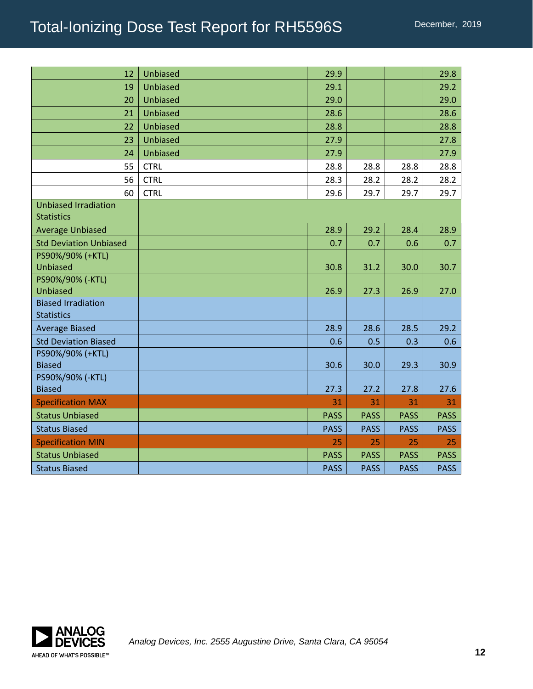| 12                                               | <b>Unbiased</b> | 29.9        |             |             | 29.8        |
|--------------------------------------------------|-----------------|-------------|-------------|-------------|-------------|
| 19                                               | Unbiased        | 29.1        |             |             | 29.2        |
| 20                                               | <b>Unbiased</b> | 29.0        |             |             | 29.0        |
| 21                                               | Unbiased        | 28.6        |             |             | 28.6        |
| 22                                               | <b>Unbiased</b> | 28.8        |             |             | 28.8        |
| 23                                               | <b>Unbiased</b> | 27.9        |             |             | 27.8        |
| 24                                               | <b>Unbiased</b> | 27.9        |             |             | 27.9        |
| 55                                               | <b>CTRL</b>     | 28.8        | 28.8        | 28.8        | 28.8        |
| 56                                               | <b>CTRL</b>     | 28.3        | 28.2        | 28.2        | 28.2        |
| 60                                               | <b>CTRL</b>     | 29.6        | 29.7        | 29.7        | 29.7        |
| <b>Unbiased Irradiation</b><br><b>Statistics</b> |                 |             |             |             |             |
| <b>Average Unbiased</b>                          |                 | 28.9        | 29.2        | 28.4        | 28.9        |
| <b>Std Deviation Unbiased</b>                    |                 | 0.7         | 0.7         | 0.6         | 0.7         |
| PS90%/90% (+KTL)<br>Unbiased                     |                 | 30.8        | 31.2        | 30.0        | 30.7        |
| PS90%/90% (-KTL)<br><b>Unbiased</b>              |                 | 26.9        | 27.3        | 26.9        | 27.0        |
| <b>Biased Irradiation</b><br><b>Statistics</b>   |                 |             |             |             |             |
| <b>Average Biased</b>                            |                 | 28.9        | 28.6        | 28.5        | 29.2        |
| <b>Std Deviation Biased</b>                      |                 | 0.6         | 0.5         | 0.3         | 0.6         |
| PS90%/90% (+KTL)<br><b>Biased</b>                |                 | 30.6        | 30.0        | 29.3        | 30.9        |
| PS90%/90% (-KTL)<br><b>Biased</b>                |                 | 27.3        | 27.2        | 27.8        | 27.6        |
| <b>Specification MAX</b>                         |                 | 31          | 31          | 31          | 31          |
| <b>Status Unbiased</b>                           |                 | <b>PASS</b> | <b>PASS</b> | <b>PASS</b> | <b>PASS</b> |
| <b>Status Biased</b>                             |                 | <b>PASS</b> | <b>PASS</b> | <b>PASS</b> | <b>PASS</b> |
| <b>Specification MIN</b>                         |                 | 25          | 25          | 25          | 25          |
| <b>Status Unbiased</b>                           |                 | <b>PASS</b> | <b>PASS</b> | <b>PASS</b> | <b>PASS</b> |
| <b>Status Biased</b>                             |                 | <b>PASS</b> | <b>PASS</b> | <b>PASS</b> | <b>PASS</b> |

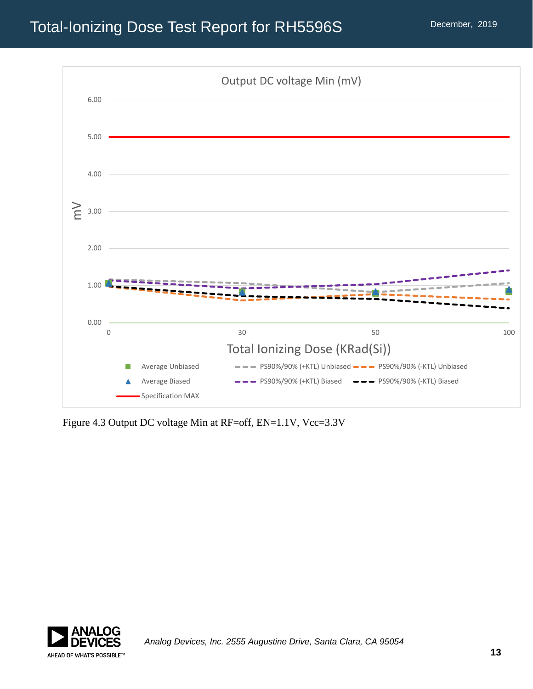

Figure 4.3 Output DC voltage Min at RF=off, EN=1.1V, Vcc=3.3V

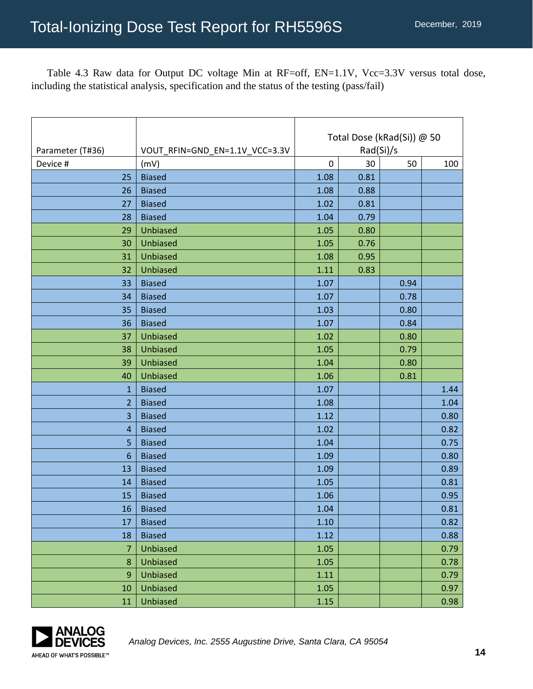Table 4.3 Raw data for Output DC voltage Min at RF=off, EN=1.1V, Vcc=3.3V versus total dose, including the statistical analysis, specification and the status of the testing (pass/fail)

| Parameter (T#36) | VOUT_RFIN=GND_EN=1.1V_VCC=3.3V | Total Dose (kRad(Si)) @ 50<br>Rad(Si)/s |      |      |      |
|------------------|--------------------------------|-----------------------------------------|------|------|------|
| Device #         | (mV)                           | 0                                       | 30   | 50   | 100  |
| 25               | <b>Biased</b>                  | 1.08                                    | 0.81 |      |      |
| 26               | <b>Biased</b>                  | 1.08                                    | 0.88 |      |      |
| 27               | <b>Biased</b>                  | 1.02                                    | 0.81 |      |      |
| 28               | <b>Biased</b>                  | 1.04                                    | 0.79 |      |      |
| 29               | <b>Unbiased</b>                | 1.05                                    | 0.80 |      |      |
| 30               | Unbiased                       | 1.05                                    | 0.76 |      |      |
| 31               | <b>Unbiased</b>                | 1.08                                    | 0.95 |      |      |
| 32               | <b>Unbiased</b>                | 1.11                                    | 0.83 |      |      |
| 33               | <b>Biased</b>                  | 1.07                                    |      | 0.94 |      |
| 34               | <b>Biased</b>                  | 1.07                                    |      | 0.78 |      |
| 35               | <b>Biased</b>                  | 1.03                                    |      | 0.80 |      |
| 36               | <b>Biased</b>                  | 1.07                                    |      | 0.84 |      |
| 37               | <b>Unbiased</b>                | 1.02                                    |      | 0.80 |      |
| 38               | <b>Unbiased</b>                | 1.05                                    |      | 0.79 |      |
| 39               | <b>Unbiased</b>                | 1.04                                    |      | 0.80 |      |
| 40               | <b>Unbiased</b>                | 1.06                                    |      | 0.81 |      |
| 1                | <b>Biased</b>                  | 1.07                                    |      |      | 1.44 |
| $\overline{2}$   | <b>Biased</b>                  | 1.08                                    |      |      | 1.04 |
| 3                | <b>Biased</b>                  | 1.12                                    |      |      | 0.80 |
| $\overline{4}$   | <b>Biased</b>                  | 1.02                                    |      |      | 0.82 |
| 5                | <b>Biased</b>                  | 1.04                                    |      |      | 0.75 |
| 6                | <b>Biased</b>                  | 1.09                                    |      |      | 0.80 |
| 13               | <b>Biased</b>                  | 1.09                                    |      |      | 0.89 |
| 14               | <b>Biased</b>                  | 1.05                                    |      |      | 0.81 |
| 15               | <b>Biased</b>                  | 1.06                                    |      |      | 0.95 |
| 16 <sup>1</sup>  | <b>Biased</b>                  | 1.04                                    |      |      | 0.81 |
| 17               | <b>Biased</b>                  | 1.10                                    |      |      | 0.82 |
| 18               | <b>Biased</b>                  | 1.12                                    |      |      | 0.88 |
| $\overline{7}$   | Unbiased                       | 1.05                                    |      |      | 0.79 |
| 8                | <b>Unbiased</b>                | 1.05                                    |      |      | 0.78 |
| 9                | <b>Unbiased</b>                | 1.11                                    |      |      | 0.79 |
| 10               | <b>Unbiased</b>                | 1.05                                    |      |      | 0.97 |
| 11               | <b>Unbiased</b>                | 1.15                                    |      |      | 0.98 |

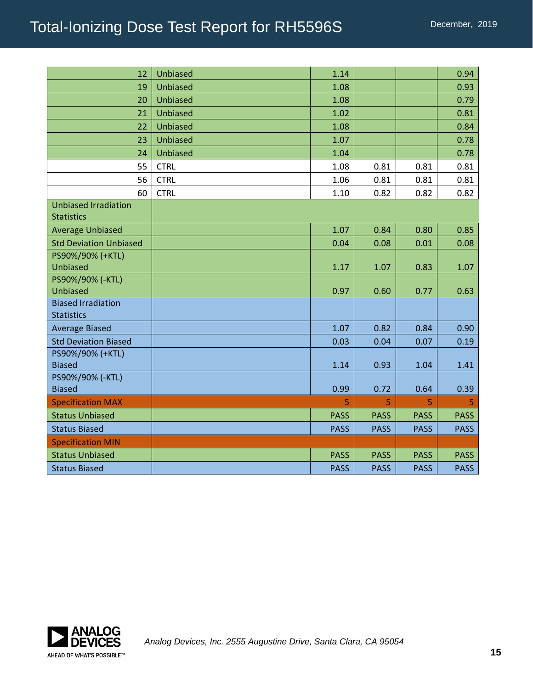# Total-Ionizing Dose Test Report for RH5596S

| 12                                               | <b>Unbiased</b> | 1.14        |             |             | 0.94        |
|--------------------------------------------------|-----------------|-------------|-------------|-------------|-------------|
| 19                                               | <b>Unbiased</b> | 1.08        |             |             | 0.93        |
| 20                                               | <b>Unbiased</b> | 1.08        |             |             | 0.79        |
| 21                                               | Unbiased        | 1.02        |             |             | 0.81        |
| 22                                               | Unbiased        | 1.08        |             |             | 0.84        |
| 23                                               | <b>Unbiased</b> | 1.07        |             |             | 0.78        |
| 24                                               | Unbiased        | 1.04        |             |             | 0.78        |
| 55                                               | <b>CTRL</b>     | 1.08        | 0.81        | 0.81        | 0.81        |
| 56                                               | <b>CTRL</b>     | 1.06        | 0.81        | 0.81        | 0.81        |
| 60                                               | <b>CTRL</b>     | 1.10        | 0.82        | 0.82        | 0.82        |
| <b>Unbiased Irradiation</b><br><b>Statistics</b> |                 |             |             |             |             |
| <b>Average Unbiased</b>                          |                 | 1.07        | 0.84        | 0.80        | 0.85        |
| <b>Std Deviation Unbiased</b>                    |                 | 0.04        | 0.08        | 0.01        | 0.08        |
| PS90%/90% (+KTL)<br>Unbiased                     |                 | 1.17        | 1.07        | 0.83        | 1.07        |
| PS90%/90% (-KTL)<br><b>Unbiased</b>              |                 | 0.97        | 0.60        | 0.77        | 0.63        |
| <b>Biased Irradiation</b><br><b>Statistics</b>   |                 |             |             |             |             |
| <b>Average Biased</b>                            |                 | 1.07        | 0.82        | 0.84        | 0.90        |
| <b>Std Deviation Biased</b>                      |                 | 0.03        | 0.04        | 0.07        | 0.19        |
| PS90%/90% (+KTL)<br><b>Biased</b>                |                 | 1.14        | 0.93        | 1.04        | 1.41        |
| PS90%/90% (-KTL)<br><b>Biased</b>                |                 | 0.99        | 0.72        | 0.64        | 0.39        |
| <b>Specification MAX</b>                         |                 | 5           | 5           | 5           | 5           |
| <b>Status Unbiased</b>                           |                 | <b>PASS</b> | <b>PASS</b> | <b>PASS</b> | <b>PASS</b> |
| <b>Status Biased</b>                             |                 | <b>PASS</b> | <b>PASS</b> | <b>PASS</b> | <b>PASS</b> |
| <b>Specification MIN</b>                         |                 |             |             |             |             |
| <b>Status Unbiased</b>                           |                 | <b>PASS</b> | <b>PASS</b> | <b>PASS</b> | <b>PASS</b> |
| <b>Status Biased</b>                             |                 | <b>PASS</b> | <b>PASS</b> | <b>PASS</b> | <b>PASS</b> |

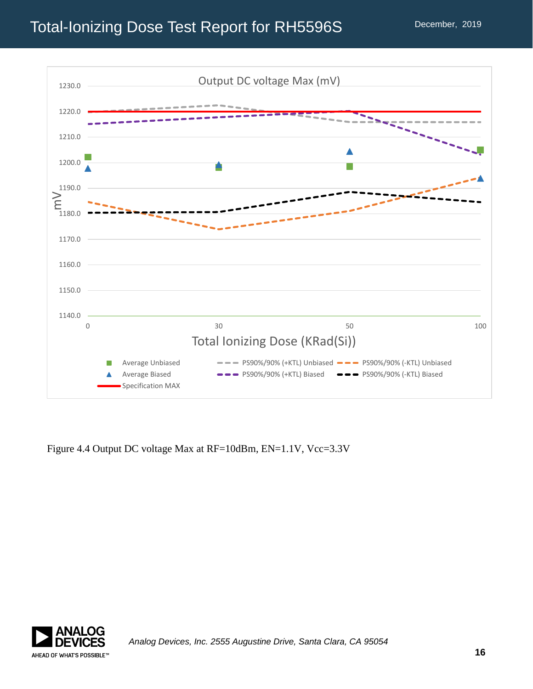

Figure 4.4 Output DC voltage Max at RF=10dBm, EN=1.1V, Vcc=3.3V

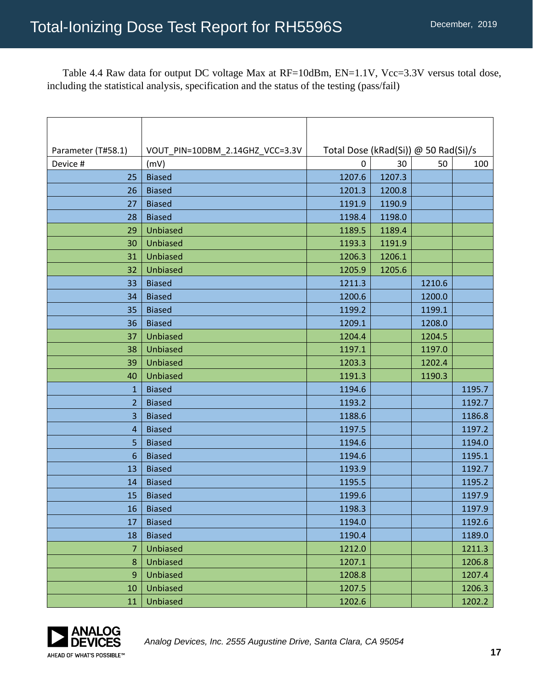Table 4.4 Raw data for output DC voltage Max at RF=10dBm, EN=1.1V, Vcc=3.3V versus total dose, including the statistical analysis, specification and the status of the testing (pass/fail)

| Parameter (T#58.1) | VOUT_PIN=10DBM_2.14GHZ_VCC=3.3V | Total Dose (kRad(Si)) @ 50 Rad(Si)/s |        |        |        |
|--------------------|---------------------------------|--------------------------------------|--------|--------|--------|
| Device #           | (mV)                            | 0                                    | 30     | 50     | 100    |
| 25                 | <b>Biased</b>                   | 1207.6                               | 1207.3 |        |        |
| 26                 | <b>Biased</b>                   | 1201.3                               | 1200.8 |        |        |
| 27                 | <b>Biased</b>                   | 1191.9                               | 1190.9 |        |        |
| 28                 | <b>Biased</b>                   | 1198.4                               | 1198.0 |        |        |
| 29                 | Unbiased                        | 1189.5                               | 1189.4 |        |        |
| 30                 | Unbiased                        | 1193.3                               | 1191.9 |        |        |
| 31                 | Unbiased                        | 1206.3                               | 1206.1 |        |        |
| 32                 | Unbiased                        | 1205.9                               | 1205.6 |        |        |
| 33                 | <b>Biased</b>                   | 1211.3                               |        | 1210.6 |        |
| 34                 | <b>Biased</b>                   | 1200.6                               |        | 1200.0 |        |
| 35                 | <b>Biased</b>                   | 1199.2                               |        | 1199.1 |        |
| 36                 | <b>Biased</b>                   | 1209.1                               |        | 1208.0 |        |
| 37                 | <b>Unbiased</b>                 | 1204.4                               |        | 1204.5 |        |
| 38                 | Unbiased                        | 1197.1                               |        | 1197.0 |        |
| 39                 | Unbiased                        | 1203.3                               |        | 1202.4 |        |
| 40                 | Unbiased                        | 1191.3                               |        | 1190.3 |        |
| $\mathbf{1}$       | <b>Biased</b>                   | 1194.6                               |        |        | 1195.7 |
| $\overline{2}$     | <b>Biased</b>                   | 1193.2                               |        |        | 1192.7 |
| 3                  | <b>Biased</b>                   | 1188.6                               |        |        | 1186.8 |
| 4                  | <b>Biased</b>                   | 1197.5                               |        |        | 1197.2 |
| 5                  | <b>Biased</b>                   | 1194.6                               |        |        | 1194.0 |
| 6                  | <b>Biased</b>                   | 1194.6                               |        |        | 1195.1 |
| 13                 | <b>Biased</b>                   | 1193.9                               |        |        | 1192.7 |
| 14                 | <b>Biased</b>                   | 1195.5                               |        |        | 1195.2 |
| 15                 | <b>Biased</b>                   | 1199.6                               |        |        | 1197.9 |
| 16                 | <b>Biased</b>                   | 1198.3                               |        |        | 1197.9 |
| 17                 | <b>Biased</b>                   | 1194.0                               |        |        | 1192.6 |
| 18                 | <b>Biased</b>                   | 1190.4                               |        |        | 1189.0 |
| 7                  | <b>Unbiased</b>                 | 1212.0                               |        |        | 1211.3 |
| 8                  | <b>Unbiased</b>                 | 1207.1                               |        |        | 1206.8 |
| 9                  | Unbiased                        | 1208.8                               |        |        | 1207.4 |
| 10                 | Unbiased                        | 1207.5                               |        |        | 1206.3 |
| 11                 | <b>Unbiased</b>                 | 1202.6                               |        |        | 1202.2 |

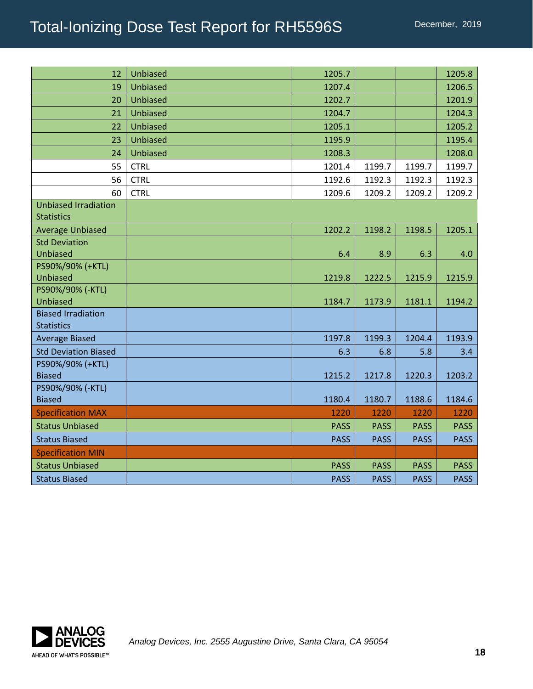| 12                                               | <b>Unbiased</b> | 1205.7      |             |             | 1205.8      |
|--------------------------------------------------|-----------------|-------------|-------------|-------------|-------------|
| 19                                               | Unbiased        | 1207.4      |             |             | 1206.5      |
| 20                                               | Unbiased        | 1202.7      |             |             | 1201.9      |
| 21                                               | <b>Unbiased</b> | 1204.7      |             |             | 1204.3      |
| 22                                               | <b>Unbiased</b> | 1205.1      |             |             | 1205.2      |
| 23                                               | <b>Unbiased</b> | 1195.9      |             |             | 1195.4      |
| 24                                               | Unbiased        | 1208.3      |             |             | 1208.0      |
| 55                                               | <b>CTRL</b>     | 1201.4      | 1199.7      | 1199.7      | 1199.7      |
| 56                                               | <b>CTRL</b>     | 1192.6      | 1192.3      | 1192.3      | 1192.3      |
| 60                                               | <b>CTRL</b>     | 1209.6      | 1209.2      | 1209.2      | 1209.2      |
| <b>Unbiased Irradiation</b><br><b>Statistics</b> |                 |             |             |             |             |
| <b>Average Unbiased</b>                          |                 | 1202.2      | 1198.2      | 1198.5      | 1205.1      |
| <b>Std Deviation</b>                             |                 |             |             |             |             |
| <b>Unbiased</b>                                  |                 | 6.4         | 8.9         | 6.3         | 4.0         |
| PS90%/90% (+KTL)                                 |                 |             |             |             |             |
| <b>Unbiased</b>                                  |                 | 1219.8      | 1222.5      | 1215.9      | 1215.9      |
| PS90%/90% (-KTL)<br><b>Unbiased</b>              |                 | 1184.7      | 1173.9      | 1181.1      | 1194.2      |
| <b>Biased Irradiation</b>                        |                 |             |             |             |             |
| <b>Statistics</b>                                |                 |             |             |             |             |
| <b>Average Biased</b>                            |                 | 1197.8      | 1199.3      | 1204.4      | 1193.9      |
| <b>Std Deviation Biased</b>                      |                 | 6.3         | 6.8         | 5.8         | 3.4         |
| PS90%/90% (+KTL)                                 |                 |             |             |             |             |
| <b>Biased</b>                                    |                 | 1215.2      | 1217.8      | 1220.3      | 1203.2      |
| PS90%/90% (-KTL)                                 |                 |             |             |             |             |
| <b>Biased</b>                                    |                 | 1180.4      | 1180.7      | 1188.6      | 1184.6      |
| <b>Specification MAX</b>                         |                 | 1220        | 1220        | 1220        | 1220        |
| <b>Status Unbiased</b>                           |                 | <b>PASS</b> | <b>PASS</b> | <b>PASS</b> | <b>PASS</b> |
| <b>Status Biased</b>                             |                 | <b>PASS</b> | <b>PASS</b> | <b>PASS</b> | <b>PASS</b> |
| <b>Specification MIN</b>                         |                 |             |             |             |             |
| <b>Status Unbiased</b>                           |                 | <b>PASS</b> | <b>PASS</b> | <b>PASS</b> | <b>PASS</b> |
| <b>Status Biased</b>                             |                 | <b>PASS</b> | <b>PASS</b> | <b>PASS</b> | <b>PASS</b> |

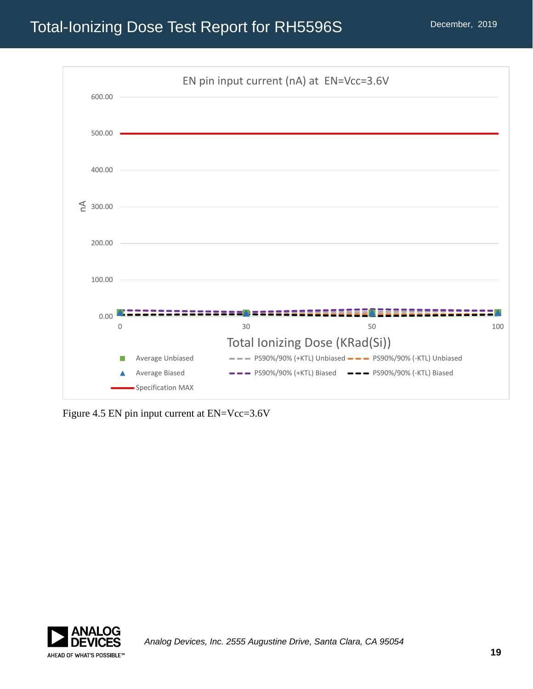

Figure 4.5 EN pin input current at EN=Vcc=3.6V

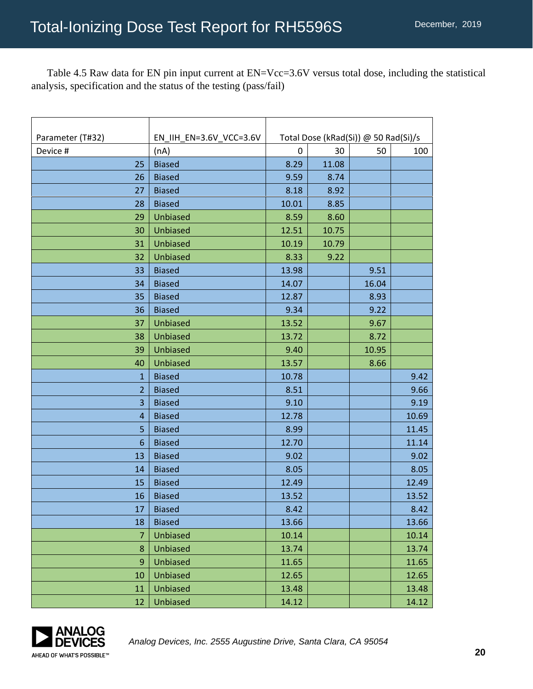Table 4.5 Raw data for EN pin input current at EN=Vcc=3.6V versus total dose, including the statistical analysis, specification and the status of the testing (pass/fail)

| Parameter (T#32) | EN_IIH_EN=3.6V_VCC=3.6V | Total Dose (kRad(Si)) @ 50 Rad(Si)/s |       |       |       |
|------------------|-------------------------|--------------------------------------|-------|-------|-------|
| Device #         | (nA)                    | 0                                    | 30    | 50    | 100   |
| 25               | <b>Biased</b>           | 8.29                                 | 11.08 |       |       |
| 26               | <b>Biased</b>           | 9.59                                 | 8.74  |       |       |
| 27               | <b>Biased</b>           | 8.18                                 | 8.92  |       |       |
| 28               | <b>Biased</b>           | 10.01                                | 8.85  |       |       |
| 29               | <b>Unbiased</b>         | 8.59                                 | 8.60  |       |       |
| 30               | Unbiased                | 12.51                                | 10.75 |       |       |
| 31               | Unbiased                | 10.19                                | 10.79 |       |       |
| 32               | Unbiased                | 8.33                                 | 9.22  |       |       |
| 33               | <b>Biased</b>           | 13.98                                |       | 9.51  |       |
| 34               | <b>Biased</b>           | 14.07                                |       | 16.04 |       |
| 35               | <b>Biased</b>           | 12.87                                |       | 8.93  |       |
| 36               | <b>Biased</b>           | 9.34                                 |       | 9.22  |       |
| 37               | Unbiased                | 13.52                                |       | 9.67  |       |
| 38               | Unbiased                | 13.72                                |       | 8.72  |       |
| 39               | Unbiased                | 9.40                                 |       | 10.95 |       |
| 40               | Unbiased                | 13.57                                |       | 8.66  |       |
| $\mathbf{1}$     | <b>Biased</b>           | 10.78                                |       |       | 9.42  |
| $\overline{2}$   | <b>Biased</b>           | 8.51                                 |       |       | 9.66  |
| 3                | <b>Biased</b>           | 9.10                                 |       |       | 9.19  |
| $\overline{4}$   | <b>Biased</b>           | 12.78                                |       |       | 10.69 |
| 5                | <b>Biased</b>           | 8.99                                 |       |       | 11.45 |
| 6                | <b>Biased</b>           | 12.70                                |       |       | 11.14 |
| 13               | <b>Biased</b>           | 9.02                                 |       |       | 9.02  |
| 14               | <b>Biased</b>           | 8.05                                 |       |       | 8.05  |
| 15               | <b>Biased</b>           | 12.49                                |       |       | 12.49 |
| 16               | <b>Biased</b>           | 13.52                                |       |       | 13.52 |
| 17               | <b>Biased</b>           | 8.42                                 |       |       | 8.42  |
| 18               | <b>Biased</b>           | 13.66                                |       |       | 13.66 |
| $\overline{7}$   | Unbiased                | 10.14                                |       |       | 10.14 |
| 8                | Unbiased                | 13.74                                |       |       | 13.74 |
| 9                | Unbiased                | 11.65                                |       |       | 11.65 |
| 10               | Unbiased                | 12.65                                |       |       | 12.65 |
| 11               | Unbiased                | 13.48                                |       |       | 13.48 |
| 12               | Unbiased                | 14.12                                |       |       | 14.12 |

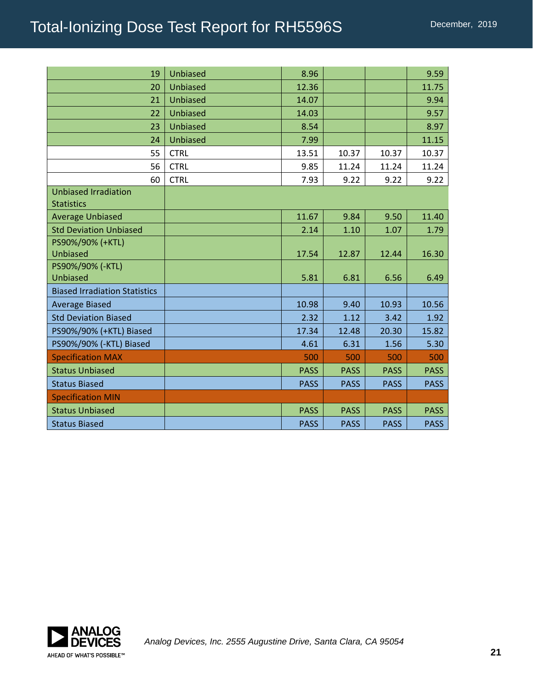| 19                                               | Unbiased        | 8.96        |             |             | 9.59        |
|--------------------------------------------------|-----------------|-------------|-------------|-------------|-------------|
| 20                                               | Unbiased        | 12.36       |             |             | 11.75       |
| 21                                               | <b>Unbiased</b> | 14.07       |             |             | 9.94        |
| 22                                               | <b>Unbiased</b> | 14.03       |             |             | 9.57        |
| 23                                               | Unbiased        | 8.54        |             |             | 8.97        |
| 24                                               | Unbiased        | 7.99        |             |             | 11.15       |
| 55                                               | <b>CTRL</b>     | 13.51       | 10.37       | 10.37       | 10.37       |
| 56                                               | <b>CTRL</b>     | 9.85        | 11.24       | 11.24       | 11.24       |
| 60                                               | <b>CTRL</b>     | 7.93        | 9.22        | 9.22        | 9.22        |
| <b>Unbiased Irradiation</b><br><b>Statistics</b> |                 |             |             |             |             |
| <b>Average Unbiased</b>                          |                 | 11.67       | 9.84        | 9.50        | 11.40       |
| <b>Std Deviation Unbiased</b>                    |                 | 2.14        | 1.10        | 1.07        | 1.79        |
| PS90%/90% (+KTL)                                 |                 |             |             |             |             |
| <b>Unbiased</b>                                  |                 | 17.54       | 12.87       | 12.44       | 16.30       |
| PS90%/90% (-KTL)                                 |                 |             |             |             |             |
| <b>Unbiased</b>                                  |                 | 5.81        | 6.81        | 6.56        | 6.49        |
| <b>Biased Irradiation Statistics</b>             |                 |             |             |             |             |
| <b>Average Biased</b>                            |                 | 10.98       | 9.40        | 10.93       | 10.56       |
| <b>Std Deviation Biased</b>                      |                 | 2.32        | 1.12        | 3.42        | 1.92        |
| PS90%/90% (+KTL) Biased                          |                 | 17.34       | 12.48       | 20.30       | 15.82       |
| PS90%/90% (-KTL) Biased                          |                 | 4.61        | 6.31        | 1.56        | 5.30        |
| <b>Specification MAX</b>                         |                 | 500         | 500         | 500         | 500         |
| <b>Status Unbiased</b>                           |                 | <b>PASS</b> | <b>PASS</b> | <b>PASS</b> | <b>PASS</b> |
| <b>Status Biased</b>                             |                 | <b>PASS</b> | <b>PASS</b> | <b>PASS</b> | <b>PASS</b> |
| <b>Specification MIN</b>                         |                 |             |             |             |             |
| <b>Status Unbiased</b>                           |                 | <b>PASS</b> | <b>PASS</b> | <b>PASS</b> | <b>PASS</b> |
| <b>Status Biased</b>                             |                 | <b>PASS</b> | <b>PASS</b> | <b>PASS</b> | <b>PASS</b> |

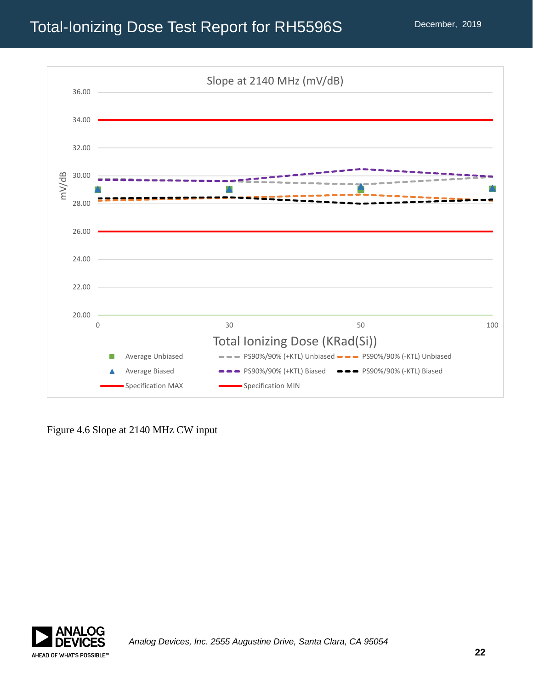

Figure 4.6 Slope at 2140 MHz CW input

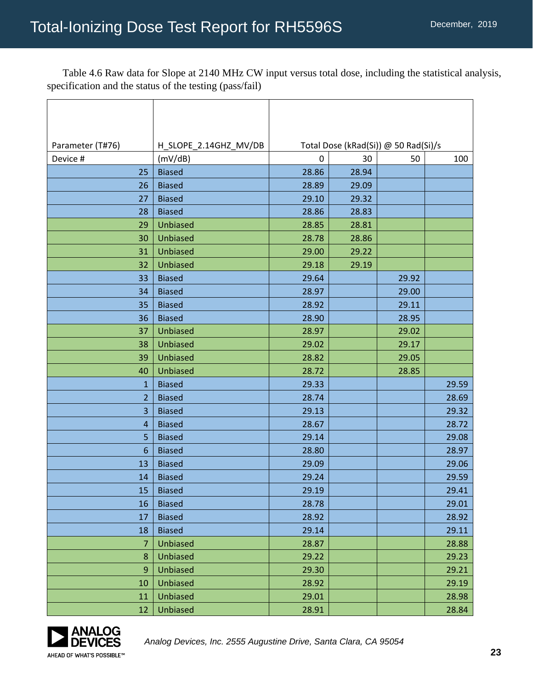Table 4.6 Raw data for Slope at 2140 MHz CW input versus total dose, including the statistical analysis, specification and the status of the testing (pass/fail)

| Parameter (T#76) | H_SLOPE_2.14GHZ_MV/DB | Total Dose (kRad(Si)) @ 50 Rad(Si)/s |       |       |       |  |
|------------------|-----------------------|--------------------------------------|-------|-------|-------|--|
| Device #         | (mV/dB)               | 0                                    | 30    | 50    | 100   |  |
| 25               | <b>Biased</b>         | 28.86                                | 28.94 |       |       |  |
| 26               | <b>Biased</b>         | 28.89                                | 29.09 |       |       |  |
| 27               | <b>Biased</b>         | 29.10                                | 29.32 |       |       |  |
| 28               | <b>Biased</b>         | 28.86                                | 28.83 |       |       |  |
| 29               | Unbiased              | 28.85                                | 28.81 |       |       |  |
| 30               | Unbiased              | 28.78                                | 28.86 |       |       |  |
| 31               | Unbiased              | 29.00                                | 29.22 |       |       |  |
| 32               | Unbiased              | 29.18                                | 29.19 |       |       |  |
| 33               | <b>Biased</b>         | 29.64                                |       | 29.92 |       |  |
| 34               | <b>Biased</b>         | 28.97                                |       | 29.00 |       |  |
| 35               | <b>Biased</b>         | 28.92                                |       | 29.11 |       |  |
| 36               | <b>Biased</b>         | 28.90                                |       | 28.95 |       |  |
| 37               | Unbiased              | 28.97                                |       | 29.02 |       |  |
| 38               | Unbiased              | 29.02                                |       | 29.17 |       |  |
| 39               | Unbiased              | 28.82                                |       | 29.05 |       |  |
| 40               | Unbiased              | 28.72                                |       | 28.85 |       |  |
| $\mathbf{1}$     | <b>Biased</b>         | 29.33                                |       |       | 29.59 |  |
| 2                | <b>Biased</b>         | 28.74                                |       |       | 28.69 |  |
| 3                | <b>Biased</b>         | 29.13                                |       |       | 29.32 |  |
| 4                | <b>Biased</b>         | 28.67                                |       |       | 28.72 |  |
| 5                | <b>Biased</b>         | 29.14                                |       |       | 29.08 |  |
| 6                | <b>Biased</b>         | 28.80                                |       |       | 28.97 |  |
| 13               | <b>Biased</b>         | 29.09                                |       |       | 29.06 |  |
| 14               | <b>Biased</b>         | 29.24                                |       |       | 29.59 |  |
| 15               | <b>Biased</b>         | 29.19                                |       |       | 29.41 |  |
| 16               | <b>Biased</b>         | 28.78                                |       |       | 29.01 |  |
| 17               | <b>Biased</b>         | 28.92                                |       |       | 28.92 |  |
| 18               | <b>Biased</b>         | 29.14                                |       |       | 29.11 |  |
| 7                | <b>Unbiased</b>       | 28.87                                |       |       | 28.88 |  |
| 8                | Unbiased              | 29.22                                |       |       | 29.23 |  |
| 9                | Unbiased              | 29.30                                |       |       | 29.21 |  |
| 10               | <b>Unbiased</b>       | 28.92                                |       |       | 29.19 |  |
| 11               | Unbiased              | 29.01                                |       |       | 28.98 |  |
| 12               | Unbiased              | 28.91                                |       |       | 28.84 |  |

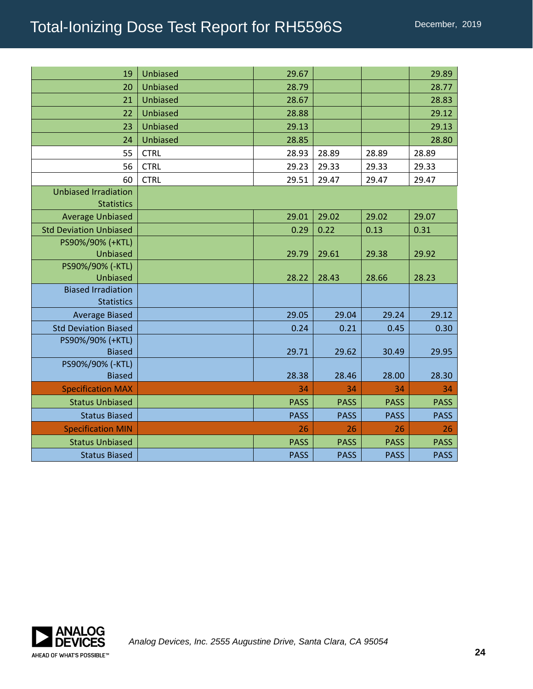| 19                            | Unbiased        | 29.67       |             |             | 29.89       |
|-------------------------------|-----------------|-------------|-------------|-------------|-------------|
| 20                            | <b>Unbiased</b> | 28.79       |             |             | 28.77       |
| 21                            | <b>Unbiased</b> | 28.67       |             |             | 28.83       |
| 22                            | <b>Unbiased</b> | 28.88       |             |             | 29.12       |
| 23                            | <b>Unbiased</b> | 29.13       |             |             | 29.13       |
| 24                            | <b>Unbiased</b> | 28.85       |             |             | 28.80       |
| 55                            | <b>CTRL</b>     | 28.93       | 28.89       | 28.89       | 28.89       |
| 56                            | <b>CTRL</b>     | 29.23       | 29.33       | 29.33       | 29.33       |
| 60                            | <b>CTRL</b>     | 29.51       | 29.47       | 29.47       | 29.47       |
| <b>Unbiased Irradiation</b>   |                 |             |             |             |             |
| <b>Statistics</b>             |                 |             |             |             |             |
| <b>Average Unbiased</b>       |                 | 29.01       | 29.02       | 29.02       | 29.07       |
| <b>Std Deviation Unbiased</b> |                 | 0.29        | 0.22        | 0.13        | 0.31        |
| PS90%/90% (+KTL)              |                 |             |             |             |             |
| Unbiased                      |                 | 29.79       | 29.61       | 29.38       | 29.92       |
| PS90%/90% (-KTL)<br>Unbiased  |                 |             |             |             |             |
| <b>Biased Irradiation</b>     |                 | 28.22       | 28.43       | 28.66       | 28.23       |
| <b>Statistics</b>             |                 |             |             |             |             |
| <b>Average Biased</b>         |                 | 29.05       | 29.04       | 29.24       | 29.12       |
| <b>Std Deviation Biased</b>   |                 | 0.24        | 0.21        | 0.45        | 0.30        |
| PS90%/90% (+KTL)              |                 |             |             |             |             |
| <b>Biased</b>                 |                 | 29.71       | 29.62       | 30.49       | 29.95       |
| PS90%/90% (-KTL)              |                 |             |             |             |             |
| <b>Biased</b>                 |                 | 28.38       | 28.46       | 28.00       | 28.30       |
| <b>Specification MAX</b>      |                 | 34          | 34          | 34          | 34          |
| <b>Status Unbiased</b>        |                 | <b>PASS</b> | <b>PASS</b> | <b>PASS</b> | <b>PASS</b> |
| <b>Status Biased</b>          |                 | <b>PASS</b> | <b>PASS</b> | <b>PASS</b> | <b>PASS</b> |
| <b>Specification MIN</b>      |                 | 26          | 26          | 26          | 26          |
| <b>Status Unbiased</b>        |                 | <b>PASS</b> | <b>PASS</b> | <b>PASS</b> | <b>PASS</b> |
| <b>Status Biased</b>          |                 | <b>PASS</b> | <b>PASS</b> | <b>PASS</b> | <b>PASS</b> |

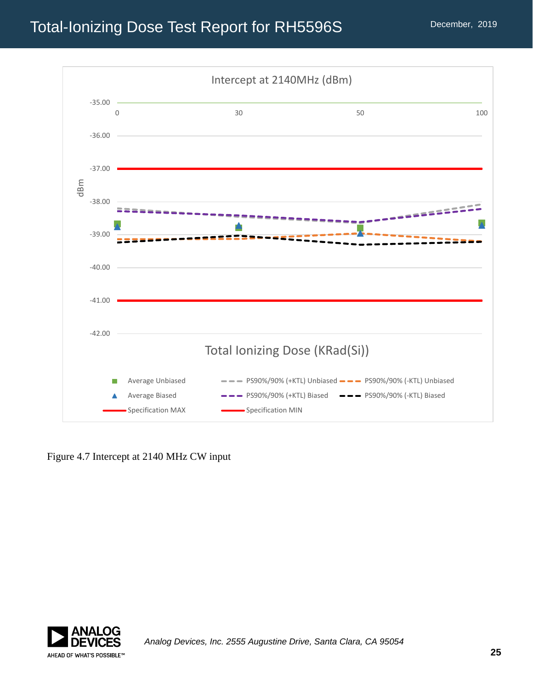

Figure 4.7 Intercept at 2140 MHz CW input

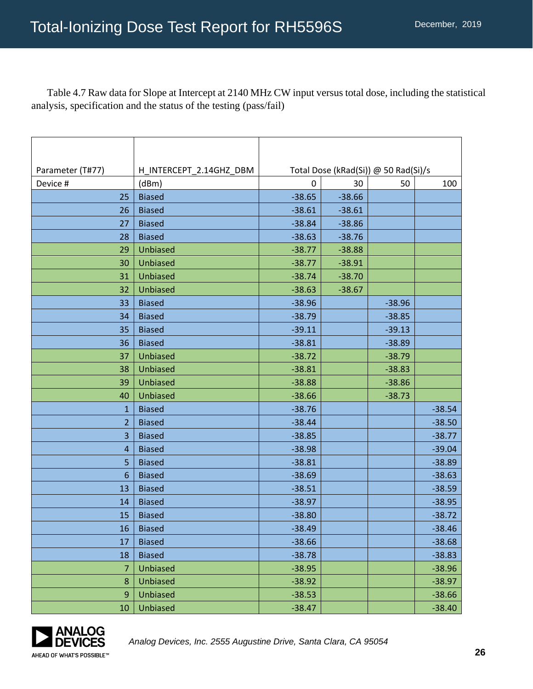Table 4.7 Raw data for Slope at Intercept at 2140 MHz CW input versus total dose, including the statistical analysis, specification and the status of the testing (pass/fail)

| Parameter (T#77) | H INTERCEPT 2.14GHZ DBM | Total Dose (kRad(Si)) @ 50 Rad(Si)/s |          |          |          |
|------------------|-------------------------|--------------------------------------|----------|----------|----------|
| Device #         | (dBm)                   | 0                                    | 30       | 50       | 100      |
| 25               | <b>Biased</b>           | $-38.65$                             | $-38.66$ |          |          |
| 26               | <b>Biased</b>           | $-38.61$                             | $-38.61$ |          |          |
| 27               | <b>Biased</b>           | $-38.84$                             | $-38.86$ |          |          |
| 28               | <b>Biased</b>           | $-38.63$                             | $-38.76$ |          |          |
| 29               | <b>Unbiased</b>         | $-38.77$                             | $-38.88$ |          |          |
| 30               | <b>Unbiased</b>         | $-38.77$                             | $-38.91$ |          |          |
| 31               | <b>Unbiased</b>         | $-38.74$                             | $-38.70$ |          |          |
| 32               | <b>Unbiased</b>         | $-38.63$                             | $-38.67$ |          |          |
| 33               | <b>Biased</b>           | $-38.96$                             |          | $-38.96$ |          |
| 34               | <b>Biased</b>           | $-38.79$                             |          | $-38.85$ |          |
| 35               | <b>Biased</b>           | $-39.11$                             |          | $-39.13$ |          |
| 36               | <b>Biased</b>           | $-38.81$                             |          | $-38.89$ |          |
| 37               | <b>Unbiased</b>         | $-38.72$                             |          | $-38.79$ |          |
| 38               | <b>Unbiased</b>         | $-38.81$                             |          | $-38.83$ |          |
| 39               | <b>Unbiased</b>         | $-38.88$                             |          | $-38.86$ |          |
| 40               | Unbiased                | $-38.66$                             |          | $-38.73$ |          |
| $\mathbf 1$      | <b>Biased</b>           | $-38.76$                             |          |          | $-38.54$ |
| $\overline{2}$   | <b>Biased</b>           | $-38.44$                             |          |          | $-38.50$ |
| 3                | <b>Biased</b>           | $-38.85$                             |          |          | $-38.77$ |
| 4                | <b>Biased</b>           | $-38.98$                             |          |          | $-39.04$ |
| 5                | <b>Biased</b>           | $-38.81$                             |          |          | $-38.89$ |
| $6\phantom{1}6$  | <b>Biased</b>           | $-38.69$                             |          |          | $-38.63$ |
| 13               | <b>Biased</b>           | $-38.51$                             |          |          | $-38.59$ |
| 14               | <b>Biased</b>           | $-38.97$                             |          |          | $-38.95$ |
| 15               | <b>Biased</b>           | $-38.80$                             |          |          | $-38.72$ |
| 16               | <b>Biased</b>           | $-38.49$                             |          |          | $-38.46$ |
| 17               | <b>Biased</b>           | $-38.66$                             |          |          | $-38.68$ |
| 18               | <b>Biased</b>           | $-38.78$                             |          |          | $-38.83$ |
| 7                | Unbiased                | $-38.95$                             |          |          | $-38.96$ |
| $\bf 8$          | <b>Unbiased</b>         | $-38.92$                             |          |          | $-38.97$ |
| 9                | <b>Unbiased</b>         | $-38.53$                             |          |          | $-38.66$ |
| 10               | Unbiased                | $-38.47$                             |          |          | $-38.40$ |

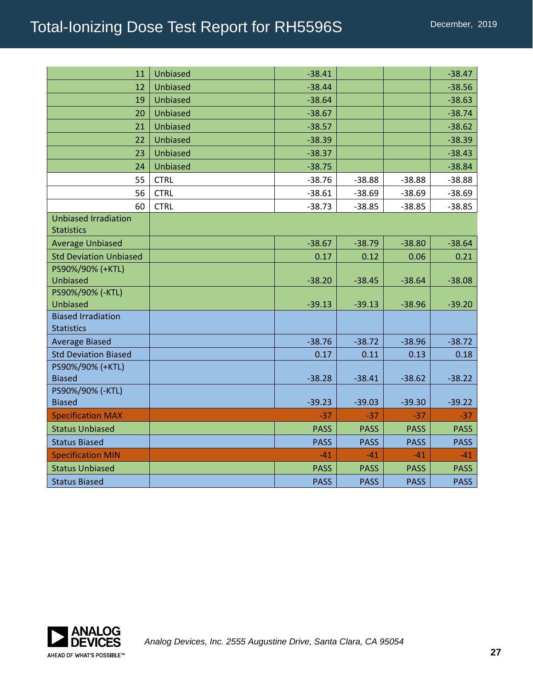| 11                                               | Unbiased        | $-38.41$    |             |             | $-38.47$    |
|--------------------------------------------------|-----------------|-------------|-------------|-------------|-------------|
| 12                                               | Unbiased        | $-38.44$    |             |             | $-38.56$    |
| 19                                               | Unbiased        | $-38.64$    |             |             | $-38.63$    |
| 20                                               | <b>Unbiased</b> | $-38.67$    |             |             | $-38.74$    |
| 21                                               | Unbiased        | $-38.57$    |             |             | $-38.62$    |
| 22                                               | Unbiased        | $-38.39$    |             |             | $-38.39$    |
| 23                                               | Unbiased        | $-38.37$    |             |             | $-38.43$    |
| 24                                               | Unbiased        | $-38.75$    |             |             | $-38.84$    |
| 55                                               | <b>CTRL</b>     | $-38.76$    | $-38.88$    | $-38.88$    | $-38.88$    |
| 56                                               | <b>CTRL</b>     | $-38.61$    | $-38.69$    | $-38.69$    | $-38.69$    |
| 60                                               | <b>CTRL</b>     | $-38.73$    | $-38.85$    | $-38.85$    | $-38.85$    |
| <b>Unbiased Irradiation</b><br><b>Statistics</b> |                 |             |             |             |             |
| <b>Average Unbiased</b>                          |                 | $-38.67$    | $-38.79$    | $-38.80$    | $-38.64$    |
| <b>Std Deviation Unbiased</b>                    |                 | 0.17        | 0.12        | 0.06        | 0.21        |
| PS90%/90% (+KTL)<br><b>Unbiased</b>              |                 | $-38.20$    | $-38.45$    | $-38.64$    | $-38.08$    |
| PS90%/90% (-KTL)<br><b>Unbiased</b>              |                 | $-39.13$    | $-39.13$    | $-38.96$    | $-39.20$    |
| <b>Biased Irradiation</b><br><b>Statistics</b>   |                 |             |             |             |             |
| <b>Average Biased</b>                            |                 | $-38.76$    | $-38.72$    | $-38.96$    | $-38.72$    |
| <b>Std Deviation Biased</b>                      |                 | 0.17        | 0.11        | 0.13        | 0.18        |
| PS90%/90% (+KTL)<br><b>Biased</b>                |                 | $-38.28$    | $-38.41$    | $-38.62$    | $-38.22$    |
| PS90%/90% (-KTL)<br><b>Biased</b>                |                 | $-39.23$    | $-39.03$    | $-39.30$    | $-39.22$    |
| <b>Specification MAX</b>                         |                 | $-37$       | $-37$       | $-37$       | $-37$       |
| <b>Status Unbiased</b>                           |                 | <b>PASS</b> | <b>PASS</b> | <b>PASS</b> | <b>PASS</b> |
| <b>Status Biased</b>                             |                 | <b>PASS</b> | <b>PASS</b> | <b>PASS</b> | <b>PASS</b> |
| <b>Specification MIN</b>                         |                 | $-41$       | $-41$       | $-41$       | $-41$       |
| <b>Status Unbiased</b>                           |                 | <b>PASS</b> | <b>PASS</b> | <b>PASS</b> | <b>PASS</b> |
| <b>Status Biased</b>                             |                 | <b>PASS</b> | <b>PASS</b> | <b>PASS</b> | <b>PASS</b> |